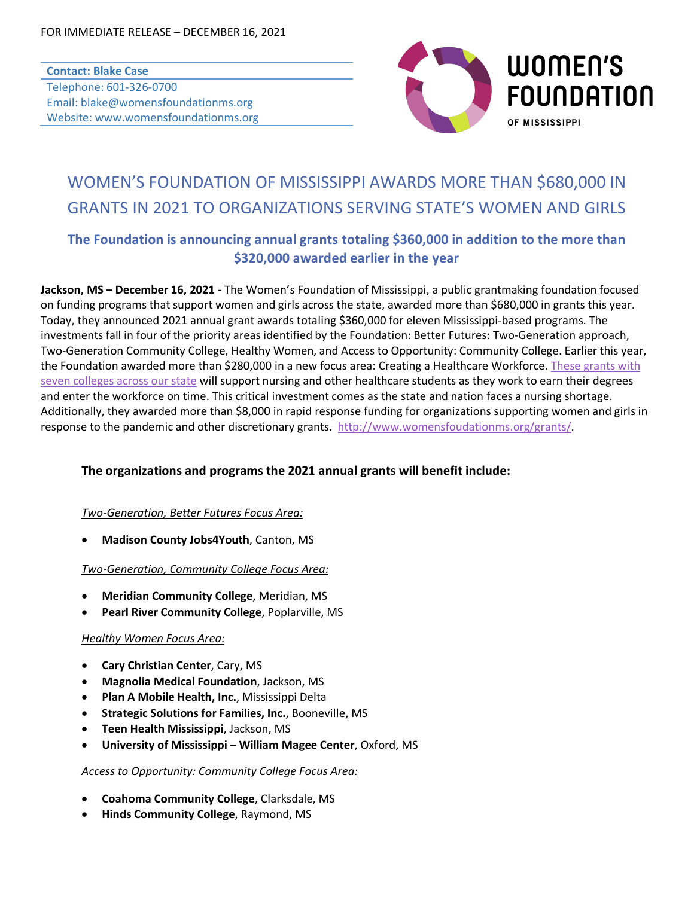### **Contact: Blake Case** Telephone: 601-326-0700 Email: blake@womensfoundationms.org Website: www.womensfoundationms.org



# WOMEN'S FOUNDATION OF MISSISSIPPI AWARDS MORE THAN \$680,000 IN GRANTS IN 2021 TO ORGANIZATIONS SERVING STATE'S WOMEN AND GIRLS

# **The Foundation is announcing annual grants totaling \$360,000 in addition to the more than \$320,000 awarded earlier in the year**

**Jackson, MS – December 16, 2021 -** The Women's Foundation of Mississippi, a public grantmaking foundation focused on funding programs that support women and girls across the state, awarded more than \$680,000 in grants this year. Today, they announced 2021 annual grant awards totaling \$360,000 for eleven Mississippi-based programs. The investments fall in four of the priority areas identified by the Foundation: Better Futures: Two-Generation approach, Two-Generation Community College, Healthy Women, and Access to Opportunity: Community College. Earlier this year, the Foundation awarded more than \$280,000 in a new focus area: Creating a Healthcare Workforce. These grants with seven colleges across our state will support nursing and other healthcare students as they work to earn their degrees and enter the workforce on time. This critical investment comes as the state and nation faces a nursing shortage. Additionally, they awarded more than \$8,000 in rapid response funding for organizations supporting women and girls in response to the pandemic and other discretionary grants. http://www.womensfoudationms.org/grants/.

## **The organizations and programs the 2021 annual grants will benefit include:**

### *Two-Generation, Better Futures Focus Area:*

• **Madison County Jobs4Youth**, Canton, MS

### *Two-Generation, Community College Focus Area:*

- **Meridian Community College**, Meridian, MS
- **Pearl River Community College**, Poplarville, MS

#### *Healthy Women Focus Area:*

- **Cary Christian Center**, Cary, MS
- **Magnolia Medical Foundation**, Jackson, MS
- **Plan A Mobile Health, Inc.**, Mississippi Delta
- **Strategic Solutions for Families, Inc.**, Booneville, MS
- **Teen Health Mississippi**, Jackson, MS
- **University of Mississippi – William Magee Center**, Oxford, MS

#### *Access to Opportunity: Community College Focus Area:*

- **Coahoma Community College**, Clarksdale, MS
- **Hinds Community College**, Raymond, MS